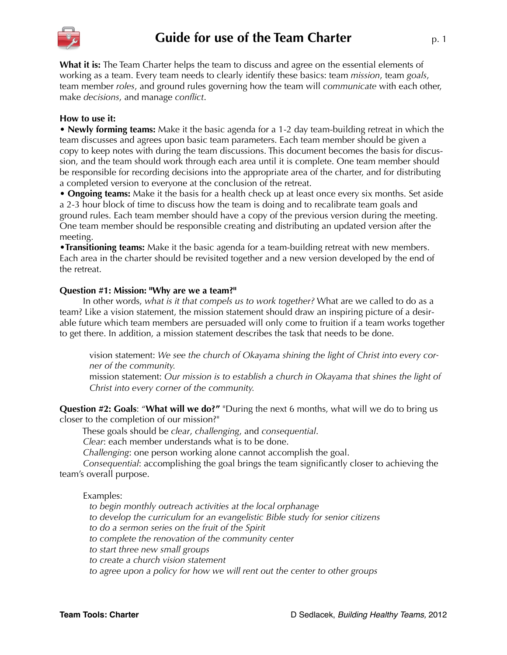

# **Guide for use of the Team Charter** p. 1

**What it is:** The Team Charter helps the team to discuss and agree on the essential elements of working as a team. Every team needs to clearly identify these basics: team *mission*, team *goals*, team member *roles*, and ground rules governing how the team will *communicate* with each other, make *decisions*, and manage *conflict*.

## **How to use it:**

**• Newly forming teams:** Make it the basic agenda for a 1-2 day team-building retreat in which the team discusses and agrees upon basic team parameters. Each team member should be given a copy to keep notes with during the team discussions. This document becomes the basis for discussion, and the team should work through each area until it is complete. One team member should be responsible for recording decisions into the appropriate area of the charter, and for distributing a completed version to everyone at the conclusion of the retreat.

**• Ongoing teams:** Make it the basis for a health check up at least once every six months. Set aside a 2-3 hour block of time to discuss how the team is doing and to recalibrate team goals and ground rules. Each team member should have a copy of the previous version during the meeting. One team member should be responsible creating and distributing an updated version after the meeting.

**•Transitioning teams:** Make it the basic agenda for a team-building retreat with new members. Each area in the charter should be revisited together and a new version developed by the end of the retreat.

## **Question #1: Mission: "Why are we a team?"**

 In other words, *what is it that compels us to work together?* What are we called to do as a team? Like a vision statement, the mission statement should draw an inspiring picture of a desirable future which team members are persuaded will only come to fruition if a team works together to get there. In addition, a mission statement describes the task that needs to be done.

vision statement: *We see the church of Okayama shining the light of Christ into every corner of the community.*

mission statement: *Our mission is to establish a church in Okayama that shines the light of Christ into every corner of the community.*

**Question #2: Goals**: "**What will we do?"** "During the next 6 months, what will we do to bring us closer to the completion of our mission?"

These goals should be *clear*, *challenging*, and *consequential*.

*Clear*: each member understands what is to be done.

*Challenging*: one person working alone cannot accomplish the goal.

*Consequential*: accomplishing the goal brings the team significantly closer to achieving the team's overall purpose.

## Examples:

*to begin monthly outreach activities at the local orphanage to develop the curriculum for an evangelistic Bible study for senior citizens to do a sermon series on the fruit of the Spirit to complete the renovation of the community center to start three new small groups to create a church vision statement to agree upon a policy for how we will rent out the center to other groups*